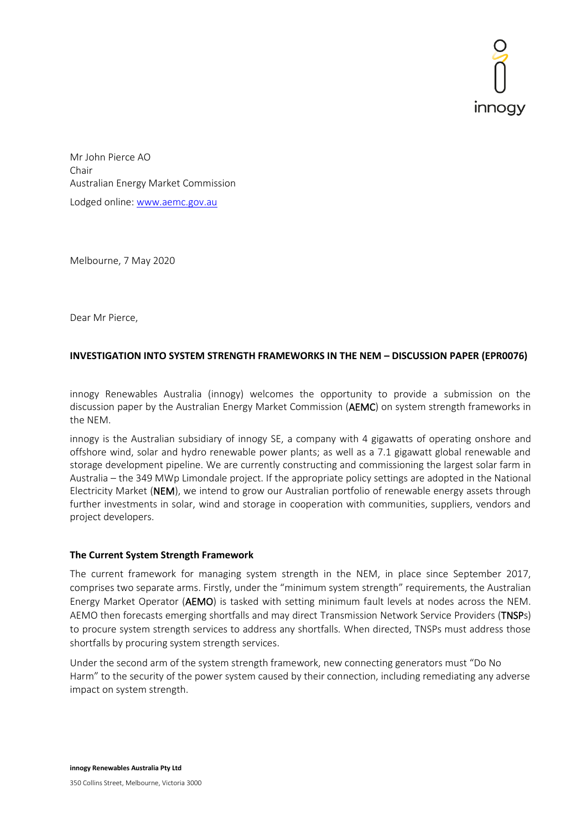

 Mr John Pierce AO Chair Australian Energy Market Commission Lodged online[: www.aemc.gov.au](http://www.aemc.gov.au/)

Melbourne, 7 May 2020

Dear Mr Pierce,

# **INVESTIGATION INTO SYSTEM STRENGTH FRAMEWORKS IN THE NEM – DISCUSSION PAPER (EPR0076)**

innogy Renewables Australia (innogy) welcomes the opportunity to provide a submission on the discussion paper by the Australian Energy Market Commission (AEMC) on system strength frameworks in the NEM.

innogy is the Australian subsidiary of innogy SE, a company with 4 gigawatts of operating onshore and offshore wind, solar and hydro renewable power plants; as well as a 7.1 gigawatt global renewable and storage development pipeline. We are currently constructing and commissioning the largest solar farm in Australia – the 349 MWp Limondale project. If the appropriate policy settings are adopted in the National Electricity Market (NEM), we intend to grow our Australian portfolio of renewable energy assets through further investments in solar, wind and storage in cooperation with communities, suppliers, vendors and project developers.

## **The Current System Strength Framework**

The current framework for managing system strength in the NEM, in place since September 2017, comprises two separate arms. Firstly, under the "minimum system strength" requirements, the Australian Energy Market Operator (AEMO) is tasked with setting minimum fault levels at nodes across the NEM. AEMO then forecasts emerging shortfalls and may direct Transmission Network Service Providers (TNSPs) to procure system strength services to address any shortfalls. When directed, TNSPs must address those shortfalls by procuring system strength services.

Under the second arm of the system strength framework, new connecting generators must "Do No Harm" to the security of the power system caused by their connection, including remediating any adverse impact on system strength.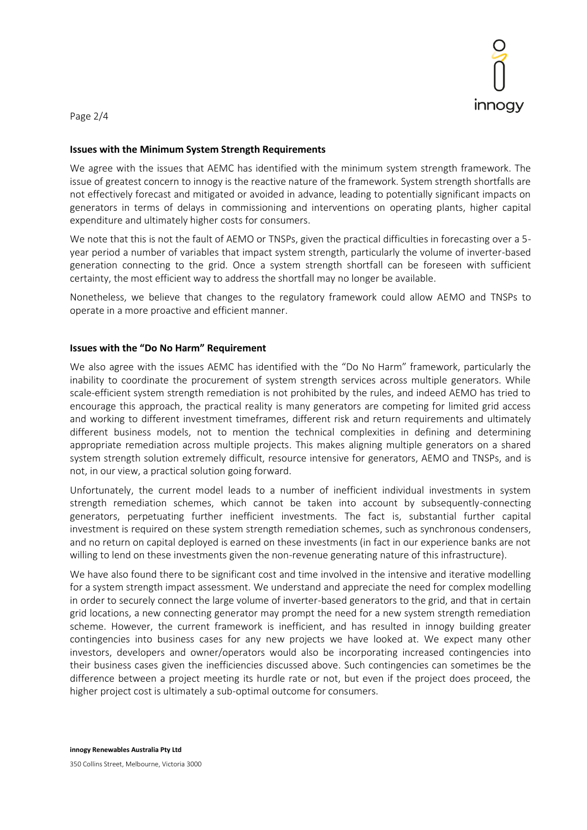

Page 2/4

### **Issues with the Minimum System Strength Requirements**

We agree with the issues that AEMC has identified with the minimum system strength framework. The issue of greatest concern to innogy is the reactive nature of the framework. System strength shortfalls are not effectively forecast and mitigated or avoided in advance, leading to potentially significant impacts on generators in terms of delays in commissioning and interventions on operating plants, higher capital expenditure and ultimately higher costs for consumers.

We note that this is not the fault of AEMO or TNSPs, given the practical difficulties in forecasting over a 5 year period a number of variables that impact system strength, particularly the volume of inverter-based generation connecting to the grid. Once a system strength shortfall can be foreseen with sufficient certainty, the most efficient way to address the shortfall may no longer be available.

Nonetheless, we believe that changes to the regulatory framework could allow AEMO and TNSPs to operate in a more proactive and efficient manner.

## **Issues with the "Do No Harm" Requirement**

We also agree with the issues AEMC has identified with the "Do No Harm" framework, particularly the inability to coordinate the procurement of system strength services across multiple generators. While scale-efficient system strength remediation is not prohibited by the rules, and indeed AEMO has tried to encourage this approach, the practical reality is many generators are competing for limited grid access and working to different investment timeframes, different risk and return requirements and ultimately different business models, not to mention the technical complexities in defining and determining appropriate remediation across multiple projects. This makes aligning multiple generators on a shared system strength solution extremely difficult, resource intensive for generators, AEMO and TNSPs, and is not, in our view, a practical solution going forward.

Unfortunately, the current model leads to a number of inefficient individual investments in system strength remediation schemes, which cannot be taken into account by subsequently-connecting generators, perpetuating further inefficient investments. The fact is, substantial further capital investment is required on these system strength remediation schemes, such as synchronous condensers, and no return on capital deployed is earned on these investments (in fact in our experience banks are not willing to lend on these investments given the non-revenue generating nature of this infrastructure).

We have also found there to be significant cost and time involved in the intensive and iterative modelling for a system strength impact assessment. We understand and appreciate the need for complex modelling in order to securely connect the large volume of inverter-based generators to the grid, and that in certain grid locations, a new connecting generator may prompt the need for a new system strength remediation scheme. However, the current framework is inefficient, and has resulted in innogy building greater contingencies into business cases for any new projects we have looked at. We expect many other investors, developers and owner/operators would also be incorporating increased contingencies into their business cases given the inefficiencies discussed above. Such contingencies can sometimes be the difference between a project meeting its hurdle rate or not, but even if the project does proceed, the higher project cost is ultimately a sub-optimal outcome for consumers.

**innogy Renewables Australia Pty Ltd** 350 Collins Street, Melbourne, Victoria 3000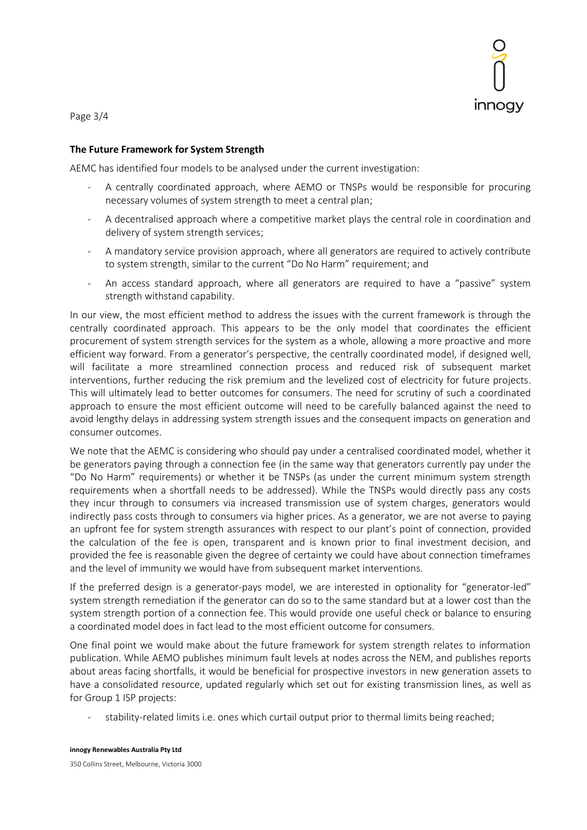

Page 3/4

#### **The Future Framework for System Strength**

AEMC has identified four models to be analysed under the current investigation:

- A centrally coordinated approach, where AEMO or TNSPs would be responsible for procuring necessary volumes of system strength to meet a central plan;
- A decentralised approach where a competitive market plays the central role in coordination and delivery of system strength services;
- A mandatory service provision approach, where all generators are required to actively contribute to system strength, similar to the current "Do No Harm" requirement; and
- An access standard approach, where all generators are required to have a "passive" system strength withstand capability.

In our view, the most efficient method to address the issues with the current framework is through the centrally coordinated approach. This appears to be the only model that coordinates the efficient procurement of system strength services for the system as a whole, allowing a more proactive and more efficient way forward. From a generator's perspective, the centrally coordinated model, if designed well, will facilitate a more streamlined connection process and reduced risk of subsequent market interventions, further reducing the risk premium and the levelized cost of electricity for future projects. This will ultimately lead to better outcomes for consumers. The need for scrutiny of such a coordinated approach to ensure the most efficient outcome will need to be carefully balanced against the need to avoid lengthy delays in addressing system strength issues and the consequent impacts on generation and consumer outcomes.

We note that the AEMC is considering who should pay under a centralised coordinated model, whether it be generators paying through a connection fee (in the same way that generators currently pay under the "Do No Harm" requirements) or whether it be TNSPs (as under the current minimum system strength requirements when a shortfall needs to be addressed). While the TNSPs would directly pass any costs they incur through to consumers via increased transmission use of system charges, generators would indirectly pass costs through to consumers via higher prices. As a generator, we are not averse to paying an upfront fee for system strength assurances with respect to our plant's point of connection, provided the calculation of the fee is open, transparent and is known prior to final investment decision, and provided the fee is reasonable given the degree of certainty we could have about connection timeframes and the level of immunity we would have from subsequent market interventions.

If the preferred design is a generator-pays model, we are interested in optionality for "generator-led" system strength remediation if the generator can do so to the same standard but at a lower cost than the system strength portion of a connection fee. This would provide one useful check or balance to ensuring a coordinated model does in fact lead to the most efficient outcome for consumers.

One final point we would make about the future framework for system strength relates to information publication. While AEMO publishes minimum fault levels at nodes across the NEM, and publishes reports about areas facing shortfalls, it would be beneficial for prospective investors in new generation assets to have a consolidated resource, updated regularly which set out for existing transmission lines, as well as for Group 1 ISP projects:

stability-related limits i.e. ones which curtail output prior to thermal limits being reached;